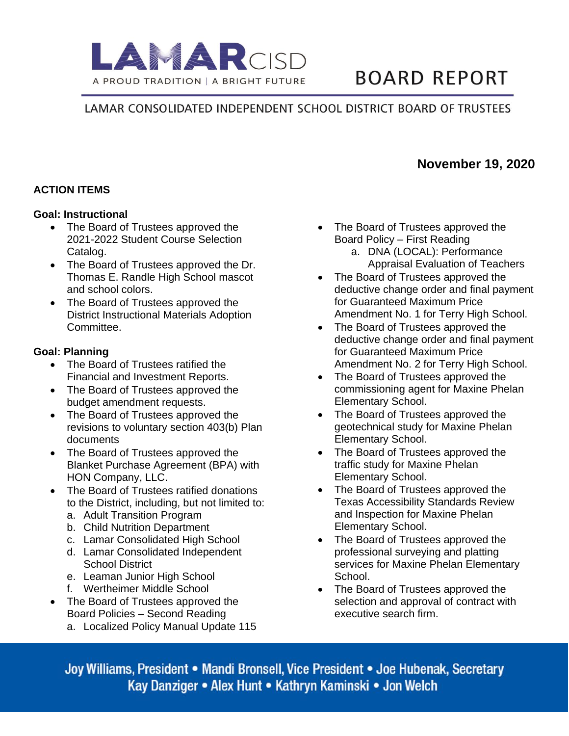

# **BOARD REPORT**

## LAMAR CONSOLIDATED INDEPENDENT SCHOOL DISTRICT BOARD OF TRUSTEES

### **ACTION ITEMS**

#### **Goal: Instructional**

- The Board of Trustees approved the 2021-2022 Student Course Selection Catalog.
- The Board of Trustees approved the Dr. Thomas E. Randle High School mascot and school colors.
- The Board of Trustees approved the District Instructional Materials Adoption Committee.

#### **Goal: Planning**

- The Board of Trustees ratified the Financial and Investment Reports.
- The Board of Trustees approved the budget amendment requests.
- The Board of Trustees approved the revisions to voluntary section 403(b) Plan documents
- The Board of Trustees approved the Blanket Purchase Agreement (BPA) with HON Company, LLC.
- The Board of Trustees ratified donations to the District, including, but not limited to:
	- a. Adult Transition Program
	- b. Child Nutrition Department
	- c. Lamar Consolidated High School
	- d. Lamar Consolidated Independent School District
	- e. Leaman Junior High School
	- f. Wertheimer Middle School
- The Board of Trustees approved the Board Policies – Second Reading
	- a. Localized Policy Manual Update 115
- The Board of Trustees approved the Board Policy – First Reading
	- a. DNA (LOCAL): Performance Appraisal Evaluation of Teachers
- The Board of Trustees approved the deductive change order and final payment for Guaranteed Maximum Price Amendment No. 1 for Terry High School.
- The Board of Trustees approved the deductive change order and final payment for Guaranteed Maximum Price Amendment No. 2 for Terry High School.
- The Board of Trustees approved the commissioning agent for Maxine Phelan Elementary School.
- The Board of Trustees approved the geotechnical study for Maxine Phelan Elementary School.
- The Board of Trustees approved the traffic study for Maxine Phelan Elementary School.
- The Board of Trustees approved the Texas Accessibility Standards Review and Inspection for Maxine Phelan Elementary School.
- The Board of Trustees approved the professional surveying and platting services for Maxine Phelan Elementary School.
- The Board of Trustees approved the selection and approval of contract with executive search firm.

Joy Williams, President • Mandi Bronsell, Vice President • Joe Hubenak, Secretary Kay Danziger • Alex Hunt • Kathryn Kaminski • Jon Welch

## **November 19, 2020**